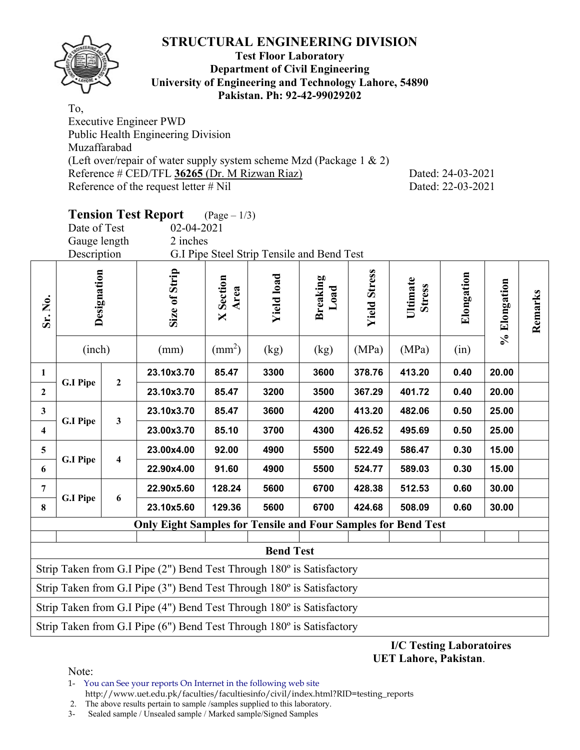

#### **Test Floor Laboratory Department of Civil Engineering University of Engineering and Technology Lahore, 54890 Pakistan. Ph: 92-42-99029202**

To, Executive Engineer PWD Public Health Engineering Division Muzaffarabad (Left over/repair of water supply system scheme Mzd (Package 1 & 2) Reference # CED/TFL **36265** (Dr. M Rizwan Riaz) Dated: 24-03-2021 Reference of the request letter # Nil Dated: 22-03-2021

# **Tension Test Report** (Page – 1/3)

Date of Test 02-04-2021 Gauge length 2 inches

Description G.I Pipe Steel Strip Tensile and Bend Test

| Sr. No.                                                               | Designation<br>(inch)                                                 |                         | Size of Strip                                                         | <b>X</b> Section<br>Area | <b>Yield load</b> | <b>Breaking</b><br>Load | <b>Yield Stress</b> | Ultimate<br><b>Stress</b> | Elongation | % Elongation | Remarks |  |
|-----------------------------------------------------------------------|-----------------------------------------------------------------------|-------------------------|-----------------------------------------------------------------------|--------------------------|-------------------|-------------------------|---------------------|---------------------------|------------|--------------|---------|--|
|                                                                       |                                                                       |                         | (mm)                                                                  | $\text{(mm}^2)$          | (kg)              | (kg)                    | (MPa)               | (MPa)                     | (in)       |              |         |  |
| 1                                                                     |                                                                       | $\overline{2}$          | 23.10x3.70                                                            | 85.47                    | 3300              | 3600                    | 378.76              | 413.20                    | 0.40       | 20.00        |         |  |
| $\mathbf{2}$                                                          | <b>G.I Pipe</b>                                                       |                         | 23.10x3.70                                                            | 85.47                    | 3200              | 3500                    | 367.29              | 401.72                    | 0.40       | 20.00        |         |  |
| $\mathbf{3}$                                                          |                                                                       | $\mathbf{3}$            | 23.10x3.70                                                            | 85.47                    | 3600              | 4200                    | 413.20              | 482.06                    | 0.50       | 25.00        |         |  |
| $\overline{\mathbf{4}}$                                               | <b>G.I Pipe</b>                                                       |                         | 23.00x3.70                                                            | 85.10                    | 3700              | 4300                    | 426.52              | 495.69                    | 0.50       | 25.00        |         |  |
| 5                                                                     | <b>G.I Pipe</b>                                                       | $\overline{\mathbf{4}}$ | 23.00x4.00                                                            | 92.00                    | 4900              | 5500                    | 522.49              | 586.47                    | 0.30       | 15.00        |         |  |
| 6                                                                     |                                                                       |                         | 22.90x4.00                                                            | 91.60                    | 4900              | 5500                    | 524.77              | 589.03                    | 0.30       | 15.00        |         |  |
| 7                                                                     | <b>G.I Pipe</b>                                                       | $\boldsymbol{6}$        | 22.90x5.60                                                            | 128.24                   | 5600              | 6700                    | 428.38              | 512.53                    | 0.60       | 30.00        |         |  |
| 8                                                                     |                                                                       |                         | 23.10x5.60                                                            | 129.36                   | 5600              | 6700                    | 424.68              | 508.09                    | 0.60       | 30.00        |         |  |
|                                                                       |                                                                       |                         | <b>Only Eight Samples for Tensile and Four Samples for Bend Test</b>  |                          |                   |                         |                     |                           |            |              |         |  |
|                                                                       |                                                                       |                         |                                                                       |                          |                   |                         |                     |                           |            |              |         |  |
|                                                                       | <b>Bend Test</b>                                                      |                         |                                                                       |                          |                   |                         |                     |                           |            |              |         |  |
|                                                                       | Strip Taken from G.I Pipe (2") Bend Test Through 180° is Satisfactory |                         |                                                                       |                          |                   |                         |                     |                           |            |              |         |  |
| Strip Taken from G.I Pipe (3") Bend Test Through 180° is Satisfactory |                                                                       |                         |                                                                       |                          |                   |                         |                     |                           |            |              |         |  |
| Strip Taken from G.I Pipe (4") Bend Test Through 180° is Satisfactory |                                                                       |                         |                                                                       |                          |                   |                         |                     |                           |            |              |         |  |
|                                                                       |                                                                       |                         | Strip Taken from G.I Pipe (6") Bend Test Through 180° is Satisfactory |                          |                   |                         |                     |                           |            |              |         |  |

**I/C Testing Laboratoires UET Lahore, Pakistan**.

Note:

1- You can See your reports On Internet in the following web site http://www.uet.edu.pk/faculties/facultiesinfo/civil/index.html?RID=testing\_reports

2. The above results pertain to sample /samples supplied to this laboratory.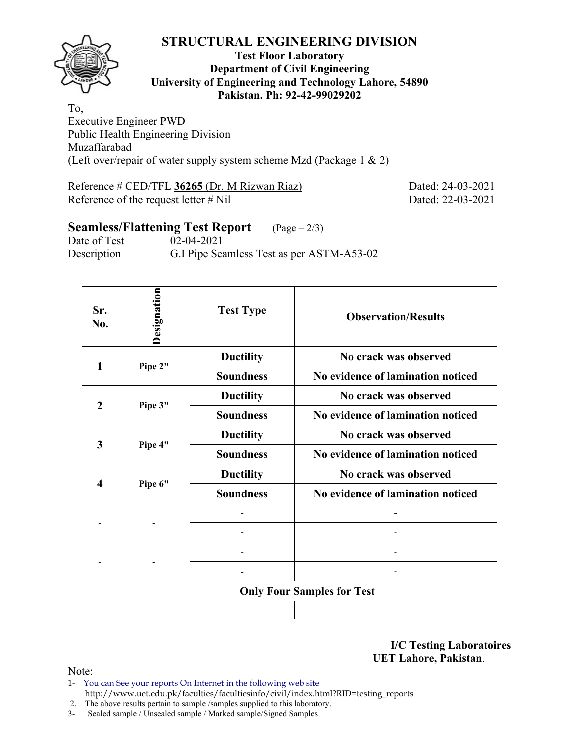

#### **Test Floor Laboratory Department of Civil Engineering University of Engineering and Technology Lahore, 54890 Pakistan. Ph: 92-42-99029202**

To, Executive Engineer PWD Public Health Engineering Division Muzaffarabad (Left over/repair of water supply system scheme Mzd (Package 1 & 2)

Reference # CED/TFL **36265** (Dr. M Rizwan Riaz) Dated: 24-03-2021 Reference of the request letter # Nil Dated: 22-03-2021

# **Seamless/Flattening Test Report** (Page – 2/3)

Date of Test 02-04-2021 Description G.I Pipe Seamless Test as per ASTM-A53-02

| Sr.<br>No.   | Designation | <b>Test Type</b> | <b>Observation/Results</b>        |  |  |  |  |  |
|--------------|-------------|------------------|-----------------------------------|--|--|--|--|--|
| 1            | Pipe 2"     | <b>Ductility</b> | No crack was observed             |  |  |  |  |  |
|              |             | <b>Soundness</b> | No evidence of lamination noticed |  |  |  |  |  |
| $\mathbf{2}$ |             | <b>Ductility</b> | No crack was observed             |  |  |  |  |  |
|              | Pipe 3"     | <b>Soundness</b> | No evidence of lamination noticed |  |  |  |  |  |
|              |             | <b>Ductility</b> | No crack was observed             |  |  |  |  |  |
| 3            | Pipe 4"     | <b>Soundness</b> | No evidence of lamination noticed |  |  |  |  |  |
|              |             | <b>Ductility</b> | No crack was observed             |  |  |  |  |  |
| 4            | Pipe 6"     | <b>Soundness</b> | No evidence of lamination noticed |  |  |  |  |  |
|              |             |                  |                                   |  |  |  |  |  |
|              |             |                  |                                   |  |  |  |  |  |
|              |             |                  |                                   |  |  |  |  |  |
|              |             |                  |                                   |  |  |  |  |  |
|              |             |                  | <b>Only Four Samples for Test</b> |  |  |  |  |  |
|              |             |                  |                                   |  |  |  |  |  |

**I/C Testing Laboratoires UET Lahore, Pakistan**.

Note:

- 1- You can See your reports On Internet in the following web site http://www.uet.edu.pk/faculties/facultiesinfo/civil/index.html?RID=testing\_reports
- 2. The above results pertain to sample /samples supplied to this laboratory.
- 3- Sealed sample / Unsealed sample / Marked sample/Signed Samples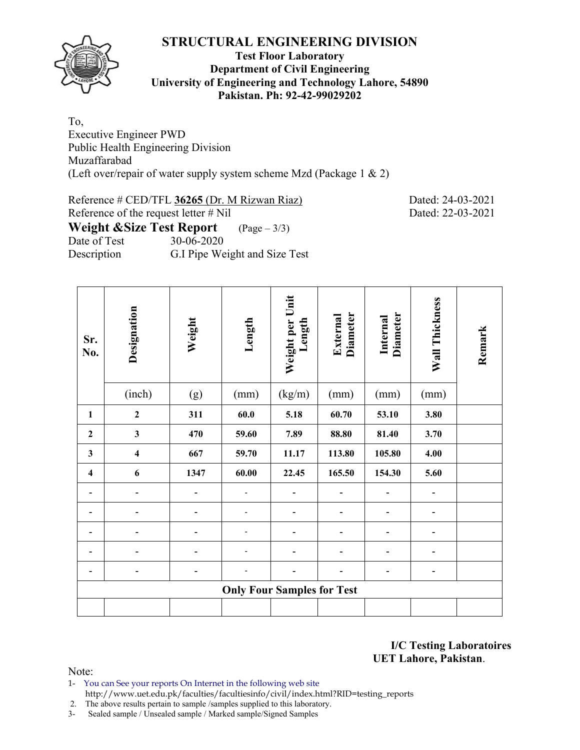

#### **Test Floor Laboratory Department of Civil Engineering University of Engineering and Technology Lahore, 54890 Pakistan. Ph: 92-42-99029202**

To, Executive Engineer PWD Public Health Engineering Division Muzaffarabad (Left over/repair of water supply system scheme Mzd (Package 1 & 2)

Reference # CED/TFL **36265** (Dr. M Rizwan Riaz) Dated: 24-03-2021 Reference of the request letter # Nil Dated: 22-03-2021 **Weight &Size Test Report** (Page – 3/3) Date of Test 30-06-2020 Description G.I Pipe Weight and Size Test

| Sr.<br>No.              | Designation                       | Weight                   | Length | Weight per Unit<br>Length | <b>Diameter</b><br>External | <b>Diameter</b><br>Internal | Wall Thickness | Remark |  |  |  |  |
|-------------------------|-----------------------------------|--------------------------|--------|---------------------------|-----------------------------|-----------------------------|----------------|--------|--|--|--|--|
|                         | (inch)                            | (g)                      | (mm)   | (kg/m)                    | (mm)                        | (mm)                        | (mm)           |        |  |  |  |  |
| $\mathbf{1}$            | $\mathbf 2$                       | 311                      | 60.0   | 5.18                      | 60.70                       | 53.10                       | 3.80           |        |  |  |  |  |
| $\overline{2}$          | $\mathbf{3}$                      | 470                      | 59.60  | 7.89                      | 88.80                       | 81.40                       | 3.70           |        |  |  |  |  |
| $\mathbf{3}$            | $\overline{\mathbf{4}}$           | 667                      | 59.70  | 11.17                     | 113.80                      | 105.80                      | 4.00           |        |  |  |  |  |
| $\overline{\mathbf{4}}$ | 6                                 | 1347                     | 60.00  | 22.45                     | 165.50                      | 154.30                      | 5.60           |        |  |  |  |  |
| -                       | $\overline{a}$                    | $\overline{\phantom{a}}$ |        |                           |                             | -                           | -              |        |  |  |  |  |
|                         |                                   |                          |        |                           |                             |                             |                |        |  |  |  |  |
|                         |                                   |                          |        |                           |                             |                             |                |        |  |  |  |  |
|                         |                                   |                          |        |                           |                             |                             |                |        |  |  |  |  |
|                         |                                   |                          |        |                           |                             |                             | -              |        |  |  |  |  |
|                         | <b>Only Four Samples for Test</b> |                          |        |                           |                             |                             |                |        |  |  |  |  |
|                         |                                   |                          |        |                           |                             |                             |                |        |  |  |  |  |

**I/C Testing Laboratoires UET Lahore, Pakistan**.

Note:

1- You can See your reports On Internet in the following web site http://www.uet.edu.pk/faculties/facultiesinfo/civil/index.html?RID=testing\_reports

2. The above results pertain to sample /samples supplied to this laboratory.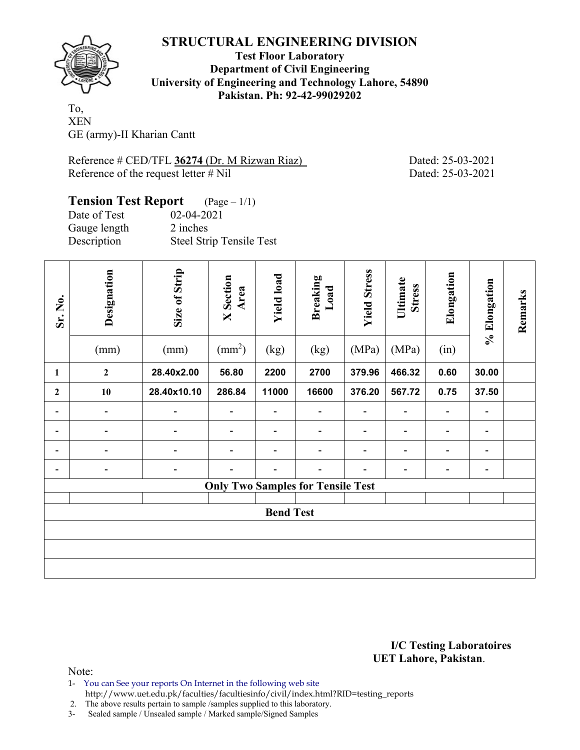

**Test Floor Laboratory Department of Civil Engineering University of Engineering and Technology Lahore, 54890 Pakistan. Ph: 92-42-99029202** 

To, XEN GE (army)-II Kharian Cantt

Reference # CED/TFL **36274** (Dr. M Rizwan Riaz) Dated: 25-03-2021 Reference of the request letter # Nil Dated: 25-03-2021

## **Tension Test Report** (Page – 1/1) Date of Test 02-04-2021

Gauge length 2 inches Description Steel Strip Tensile Test

| Sr. No.                      | Designation<br>(mm)      | Size of Strip<br>(mm)    | <b>X</b> Section<br>Area<br>$\text{(mm}^2)$ | <b>Yield load</b><br>(kg) | <b>Breaking</b><br>Load<br>(kg)          | <b>Yield Stress</b><br>(MPa) | Ultimate<br><b>Stress</b><br>(MPa) | Elongation<br>(in)           | % Elongation   | Remarks |  |
|------------------------------|--------------------------|--------------------------|---------------------------------------------|---------------------------|------------------------------------------|------------------------------|------------------------------------|------------------------------|----------------|---------|--|
| $\mathbf{1}$                 | $\overline{2}$           | 28.40x2.00               | 56.80                                       | 2200                      | 2700                                     | 379.96                       | 466.32                             | 0.60                         | 30.00          |         |  |
| $\mathbf{2}$                 | 10                       | 28.40x10.10              | 286.84                                      | 11000                     | 16600                                    | 376.20                       | 567.72                             | 0.75                         | 37.50          |         |  |
| $\qquad \qquad \blacksquare$ | $\overline{\phantom{a}}$ | $\overline{\phantom{a}}$ | $\blacksquare$                              |                           |                                          |                              |                                    | $\overline{\phantom{a}}$     | -              |         |  |
| -                            |                          |                          |                                             |                           |                                          |                              |                                    | $\overline{\phantom{a}}$     | -              |         |  |
| -                            |                          |                          |                                             | $\overline{\phantom{0}}$  |                                          |                              | $\overline{a}$                     | $\overline{\phantom{a}}$     | $\blacksquare$ |         |  |
|                              |                          |                          |                                             |                           |                                          |                              |                                    | $\qquad \qquad \blacksquare$ | -              |         |  |
|                              |                          |                          |                                             |                           | <b>Only Two Samples for Tensile Test</b> |                              |                                    |                              |                |         |  |
|                              | <b>Bend Test</b>         |                          |                                             |                           |                                          |                              |                                    |                              |                |         |  |
|                              |                          |                          |                                             |                           |                                          |                              |                                    |                              |                |         |  |
|                              |                          |                          |                                             |                           |                                          |                              |                                    |                              |                |         |  |
|                              |                          |                          |                                             |                           |                                          |                              |                                    |                              |                |         |  |

**I/C Testing Laboratoires UET Lahore, Pakistan**.

Note:

- 1- You can See your reports On Internet in the following web site
- http://www.uet.edu.pk/faculties/facultiesinfo/civil/index.html?RID=testing\_reports

2. The above results pertain to sample /samples supplied to this laboratory.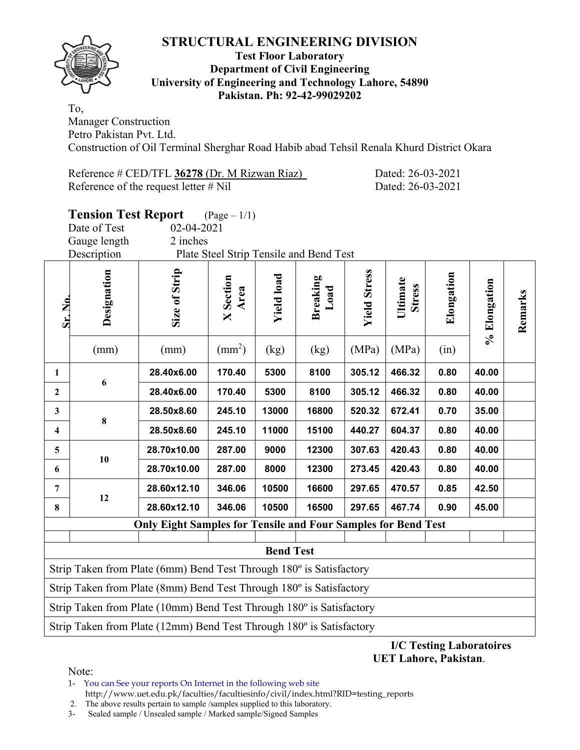

#### **Test Floor Laboratory Department of Civil Engineering University of Engineering and Technology Lahore, 54890 Pakistan. Ph: 92-42-99029202**

To, Manager Construction Petro Pakistan Pvt. Ltd.

Construction of Oil Terminal Sherghar Road Habib abad Tehsil Renala Khurd District Okara

Reference # CED/TFL **36278** (Dr. M Rizwan Riaz) Dated: 26-03-2021 Reference of the request letter # Nil Dated: 26-03-2021

|                         | <b>Tension Test Report</b>  |                                                                      | $(Page - 1/1)$           |                   |                                         |                     |                           |            |              |         |
|-------------------------|-----------------------------|----------------------------------------------------------------------|--------------------------|-------------------|-----------------------------------------|---------------------|---------------------------|------------|--------------|---------|
|                         | Date of Test                | 02-04-2021                                                           |                          |                   |                                         |                     |                           |            |              |         |
|                         | Gauge length<br>Description | 2 inches                                                             |                          |                   | Plate Steel Strip Tensile and Bend Test |                     |                           |            |              |         |
|                         |                             |                                                                      |                          |                   |                                         |                     |                           |            |              |         |
| Sr. No                  | Designation                 | Size of Strip                                                        | <b>X</b> Section<br>Area | <b>Yield load</b> | <b>Breaking</b><br>Load                 | <b>Yield Stress</b> | Ultimate<br><b>Stress</b> | Elongation | % Elongation | Remarks |
|                         | (mm)                        | (mm)                                                                 | $\text{(mm}^2)$          | (kg)              | (kg)                                    | (MPa)               | (MPa)                     | (in)       |              |         |
| $\mathbf{1}$            |                             | 28.40x6.00                                                           | 170.40                   | 5300              | 8100                                    | 305.12              | 466.32                    | 0.80       | 40.00        |         |
| $\mathbf{2}$            | 6                           | 28.40x6.00                                                           | 170.40                   | 5300              | 8100                                    | 305.12              | 466.32                    | 0.80       | 40.00        |         |
| $\mathbf{3}$            |                             | 28.50x8.60                                                           | 245.10                   | 13000             | 16800                                   | 520.32              | 672.41                    | 0.70       | 35.00        |         |
| $\overline{\mathbf{4}}$ | $\bf{8}$                    | 28.50x8.60                                                           | 245.10                   | 11000             | 15100                                   | 440.27              | 604.37                    | 0.80       | 40.00        |         |
| 5                       |                             | 28.70x10.00                                                          | 287.00                   | 9000              | 12300                                   | 307.63              | 420.43                    | 0.80       | 40.00        |         |
| 6                       | 10                          | 28.70x10.00                                                          | 287.00                   | 8000              | 12300                                   | 273.45              | 420.43                    | 0.80       | 40.00        |         |
| $\overline{7}$          |                             | 28.60x12.10                                                          | 346.06                   | 10500             | 16600                                   | 297.65              | 470.57                    | 0.85       | 42.50        |         |
| 8                       | 12                          | 28.60x12.10                                                          | 346.06                   | 10500             | 16500                                   | 297.65              | 467.74                    | 0.90       | 45.00        |         |
|                         |                             | <b>Only Eight Samples for Tensile and Four Samples for Bend Test</b> |                          |                   |                                         |                     |                           |            |              |         |
|                         |                             |                                                                      |                          | <b>Bend Test</b>  |                                         |                     |                           |            |              |         |
|                         |                             | Strip Taken from Plate (6mm) Bend Test Through 180° is Satisfactory  |                          |                   |                                         |                     |                           |            |              |         |
|                         |                             | Strip Taken from Plate (8mm) Bend Test Through 180° is Satisfactory  |                          |                   |                                         |                     |                           |            |              |         |
|                         |                             | Strip Taken from Plate (10mm) Bend Test Through 180° is Satisfactory |                          |                   |                                         |                     |                           |            |              |         |
|                         |                             | Strip Taken from Plate (12mm) Bend Test Through 180° is Satisfactory |                          |                   |                                         |                     |                           |            |              |         |

**I/C Testing Laboratoires UET Lahore, Pakistan**.

Note:

1- You can See your reports On Internet in the following web site http://www.uet.edu.pk/faculties/facultiesinfo/civil/index.html?RID=testing\_reports

2. The above results pertain to sample /samples supplied to this laboratory.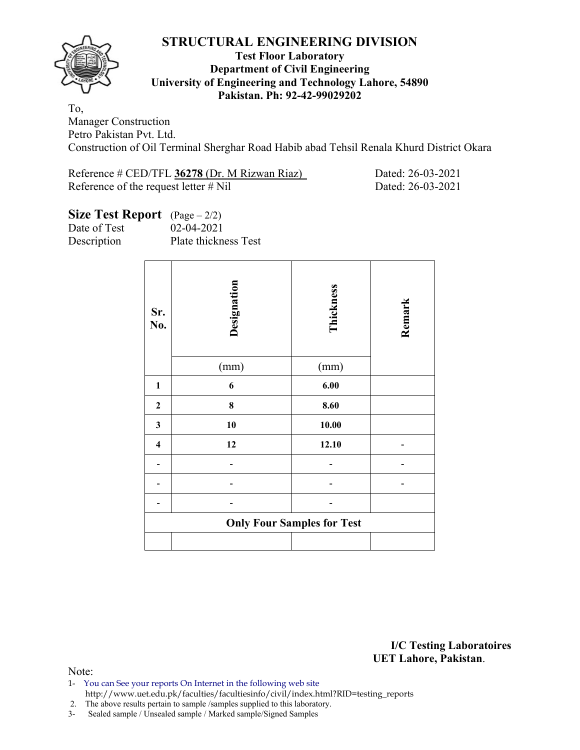

#### **Test Floor Laboratory Department of Civil Engineering University of Engineering and Technology Lahore, 54890 Pakistan. Ph: 92-42-99029202**

To, Manager Construction Petro Pakistan Pvt. Ltd. Construction of Oil Terminal Sherghar Road Habib abad Tehsil Renala Khurd District Okara

Reference # CED/TFL **36278** (Dr. M Rizwan Riaz) Dated: 26-03-2021 Reference of the request letter # Nil Dated: 26-03-2021

### **Size Test Report** (Page – 2/2)

Date of Test 02-04-2021 Description Plate thickness Test

| Sr.<br>No.              | Designation<br>(mm) | Thickness<br>(mm)                 | Remark |
|-------------------------|---------------------|-----------------------------------|--------|
| $\mathbf{1}$            | 6                   | $6.00\,$                          |        |
| $\boldsymbol{2}$        | 8                   | 8.60                              |        |
| 3                       | 10                  | 10.00                             |        |
| $\overline{\mathbf{4}}$ | 12                  | 12.10                             |        |
|                         |                     |                                   |        |
|                         |                     |                                   |        |
|                         |                     |                                   |        |
|                         |                     | <b>Only Four Samples for Test</b> |        |
|                         |                     |                                   |        |

**I/C Testing Laboratoires UET Lahore, Pakistan**.

Note:

- 1- You can See your reports On Internet in the following web site http://www.uet.edu.pk/faculties/facultiesinfo/civil/index.html?RID=testing\_reports
- 2. The above results pertain to sample /samples supplied to this laboratory.
- 3- Sealed sample / Unsealed sample / Marked sample/Signed Samples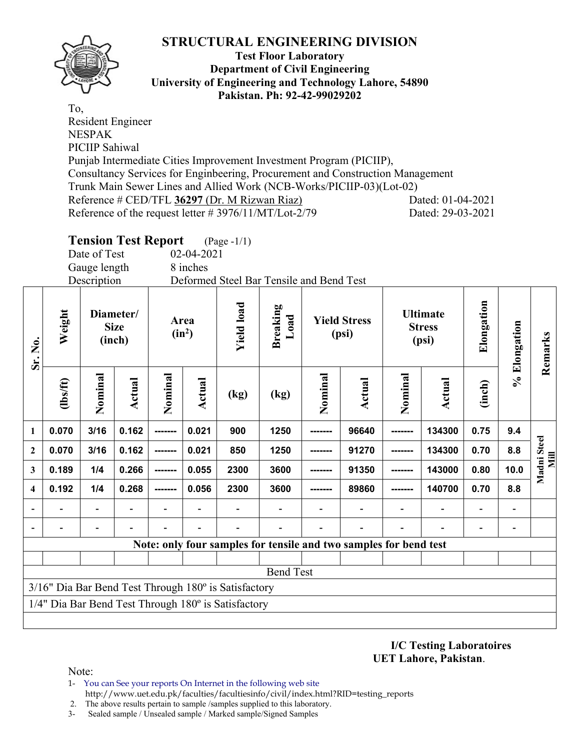

#### **Test Floor Laboratory Department of Civil Engineering University of Engineering and Technology Lahore, 54890 Pakistan. Ph: 92-42-99029202**

To, Resident Engineer NESPAK PICIIP Sahiwal Punjab Intermediate Cities Improvement Investment Program (PICIIP), Consultancy Services for Enginbeering, Procurement and Construction Management Trunk Main Sewer Lines and Allied Work (NCB-Works/PICIIP-03)(Lot-02) Reference # CED/TFL **36297** (Dr. M Rizwan Riaz) Dated: 01-04-2021 Reference of the request letter # 3976/11/MT/Lot-2/79 Dated: 29-03-2021

## **Tension Test Report** (Page -1/1)

Date of Test 02-04-2021 Gauge length 8 inches

Description Deformed Steel Bar Tensile and Bend Test

| Sr. No.                  | Weight                                                                                                      | Diameter/<br><b>Size</b><br>(inch) |               | $(in^2)$ | Area   | <b>Yield load</b> | <b>Breaking</b><br>Load  |         | <b>Yield Stress</b><br>(psi)                                      |         | <b>Ultimate</b><br><b>Stress</b><br>(psi) | Elongation | % Elongation             | Remarks             |
|--------------------------|-------------------------------------------------------------------------------------------------------------|------------------------------------|---------------|----------|--------|-------------------|--------------------------|---------|-------------------------------------------------------------------|---------|-------------------------------------------|------------|--------------------------|---------------------|
| $\mathbf{1}$             | (1bs/ft)                                                                                                    | Nominal                            | <b>Actual</b> | Nominal  | Actual | (kg)              | $\left(\text{kg}\right)$ | Nominal | Actual                                                            | Nominal | Actual                                    | (inch)     |                          |                     |
|                          | 0.070                                                                                                       | 3/16                               | 0.162         | -------- | 0.021  | 900               | 1250                     | ------- | 96640                                                             | ------- | 134300                                    | 0.75       | 9.4                      |                     |
| $\mathbf{2}$             | 0.070                                                                                                       | 3/16                               | 0.162         |          | 0.021  | 850               | 1250                     |         | 91270                                                             |         | 134300                                    | 0.70       | 8.8                      | Madni Steel<br>Mill |
| 3                        | 0.189                                                                                                       | 1/4                                | 0.266         | -------  | 0.055  | 2300              | 3600                     |         | 91350                                                             | ------- | 143000                                    | 0.80       | 10.0                     |                     |
| $\overline{\mathbf{4}}$  | 0.192                                                                                                       | 1/4                                | 0.268         | -------- | 0.056  | 2300              | 3600                     | ------- | 89860                                                             | ------- | 140700                                    | 0.70       | 8.8                      |                     |
| $\overline{\phantom{a}}$ |                                                                                                             | -                                  |               |          |        |                   |                          |         | $\overline{\phantom{0}}$                                          |         |                                           |            | $\overline{\phantom{a}}$ |                     |
|                          |                                                                                                             | $\overline{\phantom{0}}$           |               |          |        |                   |                          |         |                                                                   |         |                                           |            | $\overline{\phantom{a}}$ |                     |
|                          |                                                                                                             |                                    |               |          |        |                   |                          |         | Note: only four samples for tensile and two samples for bend test |         |                                           |            |                          |                     |
|                          |                                                                                                             |                                    |               |          |        |                   |                          |         |                                                                   |         |                                           |            |                          |                     |
|                          | <b>Bend Test</b>                                                                                            |                                    |               |          |        |                   |                          |         |                                                                   |         |                                           |            |                          |                     |
|                          | 3/16" Dia Bar Bend Test Through 180° is Satisfactory<br>1/4" Dia Bar Bend Test Through 180° is Satisfactory |                                    |               |          |        |                   |                          |         |                                                                   |         |                                           |            |                          |                     |
|                          |                                                                                                             |                                    |               |          |        |                   |                          |         |                                                                   |         |                                           |            |                          |                     |

**I/C Testing Laboratoires UET Lahore, Pakistan**.

Note:

- 1- You can See your reports On Internet in the following web site http://www.uet.edu.pk/faculties/facultiesinfo/civil/index.html?RID=testing\_reports
- 2. The above results pertain to sample /samples supplied to this laboratory.
- 3- Sealed sample / Unsealed sample / Marked sample/Signed Samples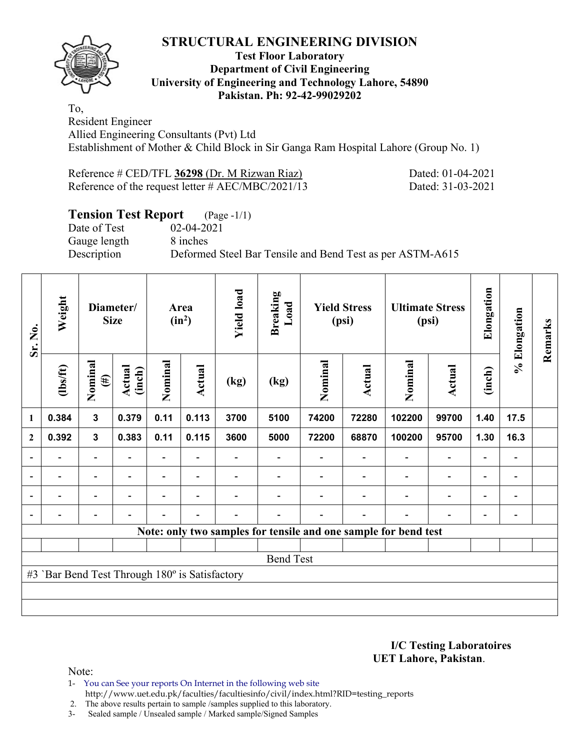

#### **Test Floor Laboratory Department of Civil Engineering University of Engineering and Technology Lahore, 54890 Pakistan. Ph: 92-42-99029202**

To, Resident Engineer Allied Engineering Consultants (Pvt) Ltd Establishment of Mother & Child Block in Sir Ganga Ram Hospital Lahore (Group No. 1)

| Reference # CED/TFL 36298 (Dr. M Rizwan Riaz)        |  |
|------------------------------------------------------|--|
| Reference of the request letter $\#$ AEC/MBC/2021/13 |  |

Dated: 01-04-2021 Dated: 31-03-2021

# **Tension Test Report** (Page -1/1)

Date of Test 02-04-2021 Gauge length 8 inches

Description Deformed Steel Bar Tensile and Bend Test as per ASTM-A615

| Sr. No.                  | Weight                                         |                          | Diameter/<br><b>Size</b> |                          | <b>Yield load</b><br><b>Breaking</b><br>Area<br>$(in^2)$ |      | Load             |         | <b>Yield Stress</b><br>(psi) |                                                                 | <b>Ultimate Stress</b><br>(psi) | Elongation               | % Elongation                 | Remarks |  |  |  |
|--------------------------|------------------------------------------------|--------------------------|--------------------------|--------------------------|----------------------------------------------------------|------|------------------|---------|------------------------------|-----------------------------------------------------------------|---------------------------------|--------------------------|------------------------------|---------|--|--|--|
|                          | (1bs/ft)                                       | Nominal<br>$(\#)$        | Actual<br>(inch)         | Nominal                  | Actual                                                   | (kg) | (kg)             | Nominal | Actual                       | Nominal                                                         | <b>Actual</b>                   | (inch)                   |                              |         |  |  |  |
| 1                        | 0.384                                          | 3                        | 0.379                    | 0.11                     | 0.113                                                    | 3700 | 5100             | 74200   | 72280                        | 102200                                                          | 99700                           | 1.40                     | 17.5                         |         |  |  |  |
| $\mathbf{2}$             | 0.392                                          | $\mathbf{3}$             | 0.383                    | 0.11                     | 0.115                                                    | 3600 | 5000             | 72200   | 68870                        | 100200                                                          | 95700                           | 1.30                     | 16.3                         |         |  |  |  |
|                          |                                                |                          |                          |                          |                                                          |      |                  |         |                              |                                                                 | $\qquad \qquad \blacksquare$    | $\overline{a}$           |                              |         |  |  |  |
| $\overline{\phantom{a}}$ |                                                | $\overline{a}$           | $\overline{\phantom{0}}$ | $\overline{\phantom{0}}$ | $\overline{\phantom{a}}$                                 |      |                  |         |                              | $\overline{\phantom{0}}$                                        | $\overline{a}$                  | $\overline{\phantom{a}}$ | $\overline{\phantom{a}}$     |         |  |  |  |
| ۰                        |                                                | $\overline{\phantom{0}}$ | $\overline{\phantom{0}}$ | $\overline{\phantom{0}}$ | $\overline{\phantom{a}}$                                 |      |                  |         | $\overline{\phantom{0}}$     | $\overline{\phantom{0}}$                                        | $\overline{a}$                  | $\overline{\phantom{0}}$ | $\qquad \qquad \blacksquare$ |         |  |  |  |
|                          |                                                | $\overline{\phantom{0}}$ |                          |                          | $\overline{\phantom{a}}$                                 |      |                  |         | $\overline{\phantom{0}}$     | $\blacksquare$                                                  | $\overline{\phantom{0}}$        | $\overline{\phantom{0}}$ | $\qquad \qquad \blacksquare$ |         |  |  |  |
|                          |                                                |                          |                          |                          |                                                          |      |                  |         |                              | Note: only two samples for tensile and one sample for bend test |                                 |                          |                              |         |  |  |  |
|                          |                                                |                          |                          |                          |                                                          |      |                  |         |                              |                                                                 |                                 |                          |                              |         |  |  |  |
|                          |                                                |                          |                          |                          |                                                          |      | <b>Bend Test</b> |         |                              |                                                                 |                                 |                          |                              |         |  |  |  |
|                          | #3 'Bar Bend Test Through 180° is Satisfactory |                          |                          |                          |                                                          |      |                  |         |                              |                                                                 |                                 |                          |                              |         |  |  |  |
|                          |                                                |                          |                          |                          |                                                          |      |                  |         |                              |                                                                 |                                 |                          |                              |         |  |  |  |
|                          |                                                |                          |                          |                          |                                                          |      |                  |         |                              |                                                                 |                                 |                          |                              |         |  |  |  |

**I/C Testing Laboratoires UET Lahore, Pakistan**.

Note:

1- You can See your reports On Internet in the following web site http://www.uet.edu.pk/faculties/facultiesinfo/civil/index.html?RID=testing\_reports

2. The above results pertain to sample /samples supplied to this laboratory.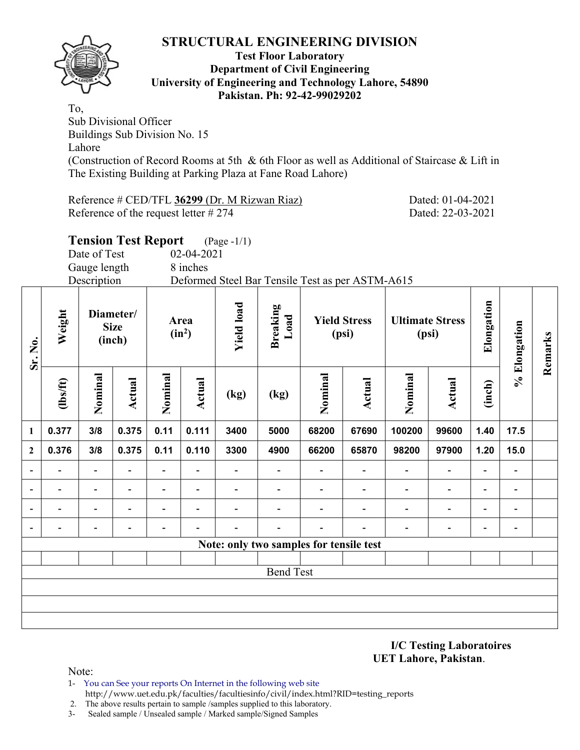

#### **Test Floor Laboratory Department of Civil Engineering University of Engineering and Technology Lahore, 54890 Pakistan. Ph: 92-42-99029202**

To, Sub Divisional Officer Buildings Sub Division No. 15 Lahore (Construction of Record Rooms at 5th & 6th Floor as well as Additional of Staircase & Lift in The Existing Building at Parking Plaza at Fane Road Lahore)

Reference # CED/TFL **36299** (Dr. M Rizwan Riaz) Dated: 01-04-2021 Reference of the request letter # 274 Dated: 22-03-2021

**Tension Test Report** (Page -1/1)

**Remarks** 

Remarks

|                |                | Date of Test                       |               |                          | 02-04-2021                            |      |                                                  |                              |                          |         |                                 |                |              |  |
|----------------|----------------|------------------------------------|---------------|--------------------------|---------------------------------------|------|--------------------------------------------------|------------------------------|--------------------------|---------|---------------------------------|----------------|--------------|--|
|                |                | Gauge length                       |               |                          | 8 inches                              |      |                                                  |                              |                          |         |                                 |                |              |  |
|                |                | Description                        |               |                          |                                       |      | Deformed Steel Bar Tensile Test as per ASTM-A615 |                              |                          |         |                                 |                |              |  |
| Sr. No.        | Weight         | Diameter/<br><b>Size</b><br>(inch) |               |                          | <b>Yield load</b><br>Area<br>$(in^2)$ |      | <b>Breaking</b><br>Load                          | <b>Yield Stress</b><br>(psi) |                          |         | <b>Ultimate Stress</b><br>(psi) | Elongation     | % Elongation |  |
|                | $\frac{2}{10}$ | Nominal                            | <b>Actual</b> | Nominal                  | Actual                                | (kg) | (kg)                                             | Nominal<br>Actual            |                          | Nominal | Actual                          | (inch)         |              |  |
| $\mathbf{1}$   | 0.377          | 3/8                                | 0.375         | 0.11                     | 0.111                                 | 3400 | 5000                                             | 68200                        | 67690                    | 100200  | 99600                           | 1.40           | 17.5         |  |
| $\overline{2}$ | 0.376          | 3/8                                | 0.375         | 0.11                     | 0.110                                 | 3300 | 4900                                             | 66200                        | 65870                    | 98200   | 97900                           | 1.20           | 15.0         |  |
|                |                |                                    |               |                          |                                       |      |                                                  |                              |                          |         |                                 |                |              |  |
|                |                |                                    |               | $\overline{\phantom{0}}$ |                                       |      |                                                  |                              | $\overline{\phantom{a}}$ |         |                                 | $\blacksquare$ |              |  |
|                |                |                                    |               |                          |                                       |      |                                                  |                              |                          |         |                                 |                |              |  |
|                |                |                                    |               |                          |                                       |      |                                                  |                              |                          |         |                                 |                |              |  |
|                |                |                                    |               |                          |                                       |      | Note: only two samples for tensile test          |                              |                          |         |                                 |                |              |  |
|                |                |                                    |               |                          |                                       |      |                                                  |                              |                          |         |                                 |                |              |  |

## Bend Test

Note:

- 1- You can See your reports On Internet in the following web site http://www.uet.edu.pk/faculties/facultiesinfo/civil/index.html?RID=testing\_reports
- 2. The above results pertain to sample /samples supplied to this laboratory.
- 3- Sealed sample / Unsealed sample / Marked sample/Signed Samples

**I/C Testing Laboratoires UET Lahore, Pakistan**.